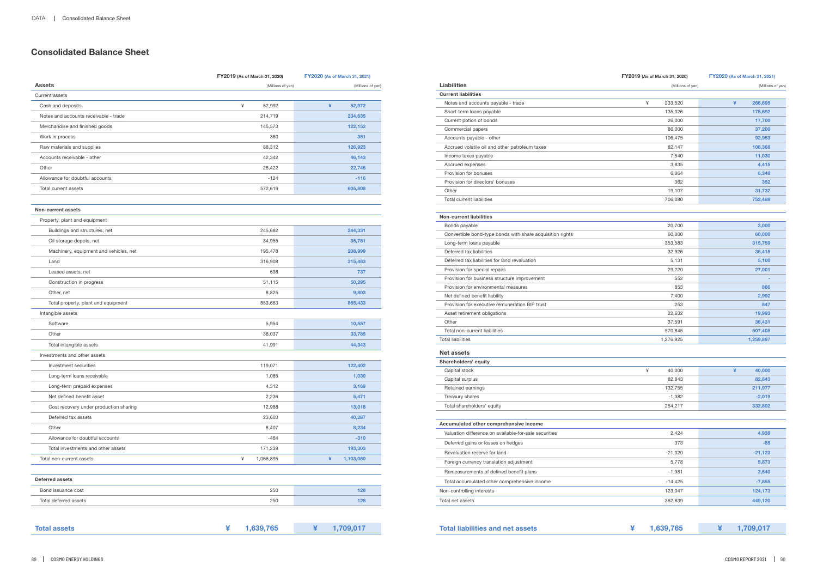## **Consolidated Balance Sheet**

|                                        | FY2019 (As of March 31, 2020) | FY2020 (As of March 31, 2021) |
|----------------------------------------|-------------------------------|-------------------------------|
| <b>Assets</b>                          | (Millions of yen)             | (Millions of yen)             |
| <b>Current assets</b>                  |                               |                               |
| Cash and deposits                      | ¥<br>52,992                   | ¥<br>52,972                   |
| Notes and accounts receivable - trade  | 214,719                       | 234,635                       |
| Merchandise and finished goods         | 145,573                       | 122,152                       |
| Work in process                        | 380                           | 351                           |
| Raw materials and supplies             | 88,312                        | 126,923                       |
| Accounts receivable - other            | 42,342                        | 46,143                        |
| Other                                  | 28,422                        | 22,746                        |
| Allowance for doubtful accounts        | $-124$                        | $-116$                        |
| Total current assets                   | 572,619                       | 605,808                       |
|                                        |                               |                               |
| Non-current assets                     |                               |                               |
| Property, plant and equipment          |                               |                               |
| Buildings and structures, net          | 245,682                       | 244,331                       |
| Oil storage depots, net                | 34,955                        | 35,781                        |
| Machinery, equipment and vehicles, net | 195,478                       | 208,999                       |
| Land                                   | 316,908                       | 315,483                       |
| Leased assets, net                     | 698                           | 737                           |
| Construction in progress               | 51,115                        | 50,295                        |
| Other, net                             | 8,825                         | 9,803                         |
| Total property, plant and equipment    | 853,663                       | 865,433                       |
| Intangible assets                      |                               |                               |
| Software                               | 5,954                         | 10,557                        |
| Other                                  | 36,037                        | 33,785                        |
| Total intangible assets                | 41,991                        | 44,343                        |
| Investments and other assets           |                               |                               |
| Investment securities                  | 119,071                       | 122,402                       |
| Long-term loans receivable             | 1,085                         | 1,030                         |
| Long-term prepaid expenses             | 4,312                         | 3,169                         |
| Net defined benefit asset              | 2,236                         | 5,471                         |
| Cost recovery under production sharing | 12,988                        | 13,018                        |
| Deferred tax assets                    | 23,603                        | 40,287                        |
| Other                                  | 8,407                         | 8,234                         |
| Allowance for doubtful accounts        | $-464$                        | $-310$                        |
| Total investments and other assets     | 171,239                       | 193,303                       |
| Total non-current assets               | ¥<br>1,066,895                | ¥<br>1,103,080                |
|                                        |                               |                               |
| <b>Deferred assets</b>                 |                               |                               |
| Bond issuance cost                     | 250                           | 128                           |
| Total deferred assets                  | 250                           | 128                           |

| <b>Total assets</b> | 1,639,765 | 1,709,017 |
|---------------------|-----------|-----------|
|                     |           |           |

## **FY2019 (As of March 31, 2020) FY2020 (As of March 31, 2021)**

|  | 1,639,765 | 1,709,017 |
|--|-----------|-----------|
|--|-----------|-----------|

| <b>Liabilities</b>                                        | (Millions of yen) | (Millions of yen) |
|-----------------------------------------------------------|-------------------|-------------------|
| <b>Current liabilities</b>                                |                   |                   |
| Notes and accounts payable - trade                        | ¥<br>233,520      | ¥<br>266,695      |
| Short-term loans payable                                  | 135,026           | 175,692           |
| Current potion of bonds                                   | 26,000            | 17,700            |
| Commercial papers                                         | 86,000            | 37,200            |
| Accounts payable - other                                  | 106,475           | 92,953            |
| Accrued volatile oil and other petroleum taxes            | 82,147            | 108,368           |
| Income taxes payable                                      | 7,540             | 11,030            |
| Accrued expenses                                          | 3,835             | 4,415             |
| Provision for bonuses                                     | 6,064             | 6,348             |
| Provision for directors' bonuses                          | 362               | 352               |
| Other                                                     | 19,107            | 31,732            |
| Total current liabilities                                 | 706,080           | 752,488           |
| <b>Non-current liabilities</b>                            |                   |                   |
| Bonds payable                                             | 20,700            | 3,000             |
| Convertible bond-type bonds with share acquisition rights | 60,000            | 60,000            |
| Long-term loans payable                                   | 353,583           | 315,759           |
| Deferred tax liabilities                                  | 32,926            | 35,415            |
| Deferred tax liabilities for land revaluation             | 5,131             | 5,100             |
| Provision for special repairs                             | 29,220            | 27,001            |
| Provision for business structure improvement              | 552               |                   |
| Provision for environmental measures                      | 853               | 866               |
| Net defined benefit liability                             | 7,400             | 2,992             |
| Provision for executive remuneration BIP trust            | 253               | 847               |
| Asset retirement obligations                              | 22,632            | 19,993            |
| Other                                                     | 37,591            | 36,431            |
| Total non-current liabilities                             | 570,845           | 507,408           |
| <b>Total liabilities</b>                                  | 1,276,925         | 1,259,897         |
| <b>Net assets</b>                                         |                   |                   |
| Shareholders' equity                                      |                   |                   |
| Capital stock                                             | ¥<br>40,000       | ¥<br>40,000       |
| Capital surplus                                           | 82,843            | 82,843            |
| Retained earnings                                         | 132,755           | 211,977           |
| Treasury shares                                           | $-1,382$          | $-2,019$          |
| Total shareholders' equity                                | 254,217           | 332,802           |
| Accumulated other comprehensive income                    |                   |                   |
| Valuation difference on available-for-sale securities     | 2,424             | 4,938             |
| Deferred gains or losses on hedges                        | 373               | $-85$             |
| Revaluation reserve for land                              | $-21,020$         | $-21,123$         |
| Foreign currency translation adjustment                   | 5,778             | 5,873             |
| Remeasurements of defined benefit plans                   | $-1,981$          | 2,540             |
| Total accumulated other comprehensive income              | $-14,425$         | $-7,855$          |
| Non-controlling interests                                 | 123,047           | 124,173           |
|                                                           |                   |                   |
| Total net assets                                          | 362,839           | 449,120           |

## **Total liabilities and net assets**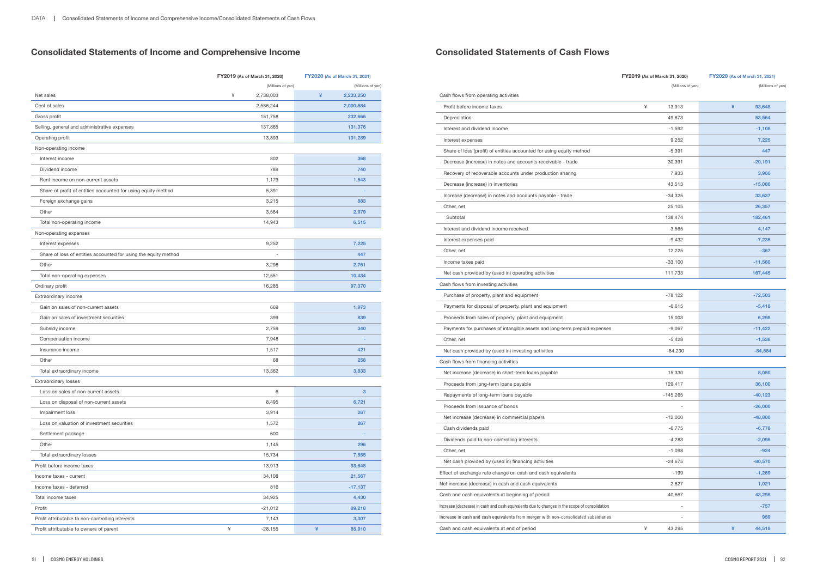# **Consolidated Statements of Income and Comprehensive Income**

|                                                                 | FY2019 (As of March 31, 2020) | FY2020 (As of March 31, 2021) |
|-----------------------------------------------------------------|-------------------------------|-------------------------------|
|                                                                 | (Millions of yen)             | (Millions of yen)             |
| Net sales                                                       | ¥<br>2,738,003                | ¥<br>2,233,250                |
| Cost of sales                                                   | 2,586,244                     | 2,000,584                     |
| Gross profit                                                    | 151,758                       | 232,666                       |
| Selling, general and administrative expenses                    | 137,865                       | 131,376                       |
| Operating profit                                                | 13,893                        | 101,289                       |
| Non-operating income                                            |                               |                               |
| Interest income                                                 | 802                           | 368                           |
| Dividend income                                                 | 789                           | 740                           |
| Rent income on non-current assets                               | 1,179                         | 1,543                         |
| Share of profit of entities accounted for using equity method   | 5,391                         |                               |
| Foreign exchange gains                                          | 3,215                         | 883                           |
| Other                                                           | 3,564                         | 2,979                         |
| Total non-operating income                                      | 14,943                        | 6,515                         |
| Non-operating expenses                                          |                               |                               |
| Interest expenses                                               | 9,252                         | 7,225                         |
| Share of loss of entities accounted for using the equity method |                               | 447                           |
| Other                                                           | 3,298                         | 2,761                         |
| Total non-operating expenses                                    | 12,551                        | 10,434                        |
| Ordinary profit                                                 | 16,285                        | 97,370                        |
| Extraordinary income                                            |                               |                               |
| Gain on sales of non-current assets                             | 669                           | 1,973                         |
| Gain on sales of investment securities                          | 399                           | 839                           |
| Subsidy income                                                  | 2,759                         | 340                           |
| Compensation income                                             | 7,948                         |                               |
| Insurance income                                                | 1,517                         | 421                           |
| Other                                                           | 68                            | 258                           |
| Total extraordinary income                                      | 13,362                        | 3,833                         |
| <b>Extraordinary losses</b>                                     |                               |                               |
| Loss on sales of non-current assets                             | 6                             | 3                             |
| Loss on disposal of non-current assets                          | 8,495                         | 6,721                         |
| Impairment loss                                                 | 3,914                         | 267                           |
| Loss on valuation of investment securities                      | 1,572                         | 267                           |
| Settlement package                                              | 600                           |                               |
| Other                                                           | 1,145                         | 296                           |
| Total extraordinary losses                                      | 15,734                        | 7,555                         |
| Profit before income taxes                                      | 13,913                        | 93,648                        |
| Income taxes - current                                          | 34,108                        | 21,567                        |
| Income taxes - deferred                                         | 816                           | $-17,137$                     |
| Total income taxes                                              | 34,925                        | 4,430                         |
| Profit                                                          | $-21,012$                     | 89,218                        |
| Profit attributable to non-controlling interests                | 7,143                         | 3,307                         |
| Profit attributable to owners of parent                         | ¥<br>$-28,155$                | ¥<br>85,910                   |

## **Consolidated Statements of Cash Flows**

## **FY2019 (As of March 31, 2020) FY2020 (As of March 31, 2021)**

(Millions of yen) (Millions of yen)

| Profit before income taxes                                                                    | ¥<br>13,913 | ¥<br>93,648 |
|-----------------------------------------------------------------------------------------------|-------------|-------------|
| Depreciation                                                                                  | 49,673      | 53,564      |
| Interest and dividend income                                                                  | $-1,592$    | $-1,108$    |
| Interest expenses                                                                             | 9,252       | 7.225       |
| Share of loss (profit) of entities accounted for using equity method                          | $-5,391$    | 447         |
| Decrease (increase) in notes and accounts receivable - trade                                  | 30,391      | $-20,191$   |
| Recovery of recoverable accounts under production sharing                                     | 7,933       | 3,966       |
| Decrease (increase) in inventories                                                            | 43,513      | $-15,086$   |
| Increase (decrease) in notes and accounts payable - trade                                     | $-34,325$   | 33,637      |
| Other, net                                                                                    | 25,105      | 26,357      |
| Subtotal                                                                                      | 138,474     | 182,461     |
| Interest and dividend income received                                                         | 3,565       | 4,147       |
| Interest expenses paid                                                                        | $-9,432$    | $-7,235$    |
| Other, net                                                                                    | 12,225      | $-367$      |
| Income taxes paid                                                                             | $-33,100$   | $-11,560$   |
| Net cash provided by (used in) operating activities                                           | 111,733     | 167,445     |
| Cash flows from investing activities                                                          |             |             |
| Purchase of property, plant and equipment                                                     | $-78,122$   | $-72,503$   |
| Payments for disposal of property, plant and equipment                                        | $-6,615$    | $-5,418$    |
| Proceeds from sales of property, plant and equipment                                          | 15,003      | 6,298       |
| Payments for purchases of intangible assets and long-term prepaid expenses                    | $-9,067$    | $-11,422$   |
| Other, net                                                                                    | $-5,428$    | $-1,538$    |
| Net cash provided by (used in) investing activities                                           | $-84,230$   | $-84,584$   |
| Cash flows from financing activities                                                          |             |             |
| Net increase (decrease) in short-term loans payable                                           | 15,330      | 8,050       |
| Proceeds from long-term loans payable                                                         | 129,417     | 36,100      |
| Repayments of long-term loans payable                                                         | $-145,265$  | $-40, 123$  |
| Proceeds from issuance of bonds                                                               |             | $-26,000$   |
| Net increase (decrease) in commercial papers                                                  | $-12,000$   | $-48,800$   |
| Cash dividends paid                                                                           | $-6,775$    | $-6,778$    |
| Dividends paid to non-controlling interests                                                   | $-4,283$    | $-2,095$    |
| Other, net                                                                                    | $-1,098$    | $-924$      |
| Net cash provided by (used in) financing activities                                           | $-24,675$   | $-80,570$   |
| Effect of exchange rate change on cash and cash equivalents                                   | $-199$      | $-1,269$    |
| Net increase (decrease) in cash and cash equivalents                                          | 2,627       | 1,021       |
| Cash and cash equivalents at beginning of period                                              | 40,667      | 43,295      |
| Increase (decrease) in cash and cash equivalents due to changes in the scope of consolidation |             | $-757$      |
| Increase in cash and cash equivalents from merger with non-consolidated subsidiaries          |             | 959         |
| Cash and cash equivalents at end of period                                                    | ¥<br>43,295 | ¥<br>44,518 |